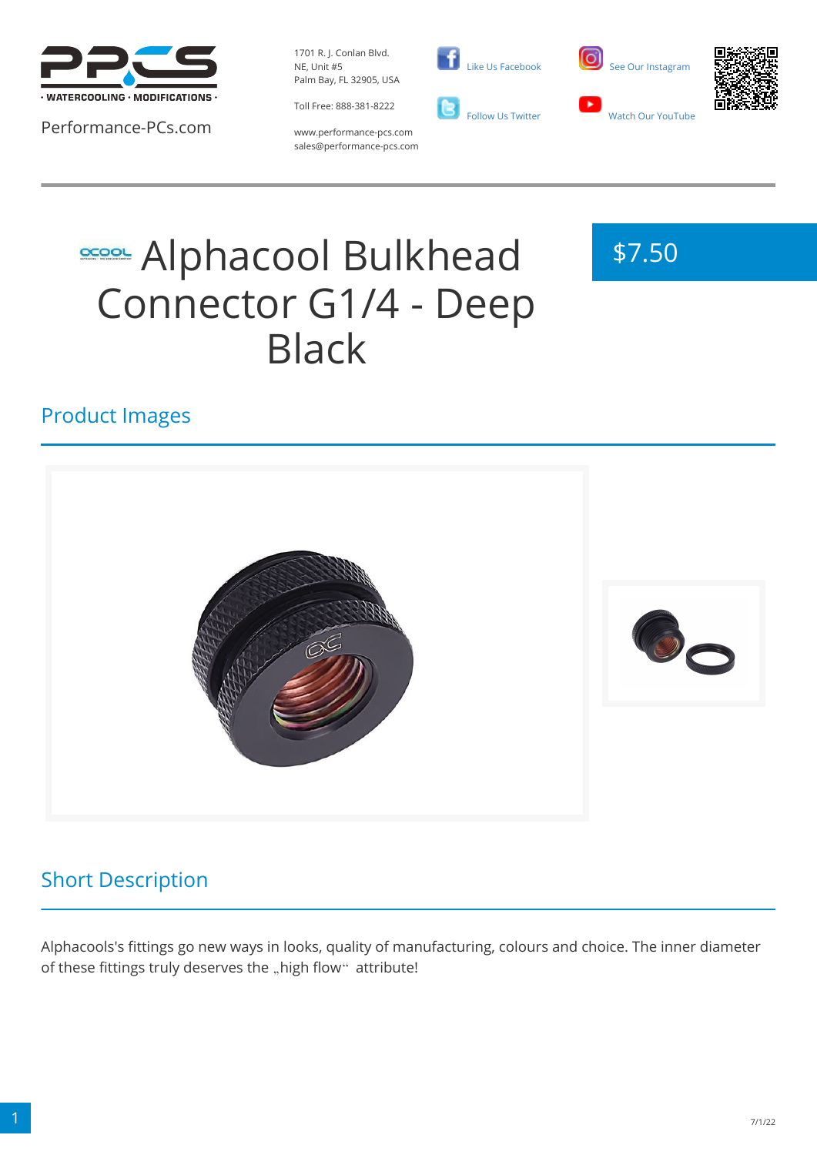

Performance-PCs.com

1701 R. J. Conlan Blvd. NE, Unit #5 Palm Bay, FL 32905, USA

Toll Free: 888-381-8222







www.performance-pcs.com sales@performance-pcs.com

# **SCOOL Bulkhead** Connector G1/4 - Deep Black



### Product Images



## Short Description

Alphacools's fittings go new ways in looks, quality of manufacturing, colours and choice. The inner diameter of these fittings truly deserves the "high flow" attribute!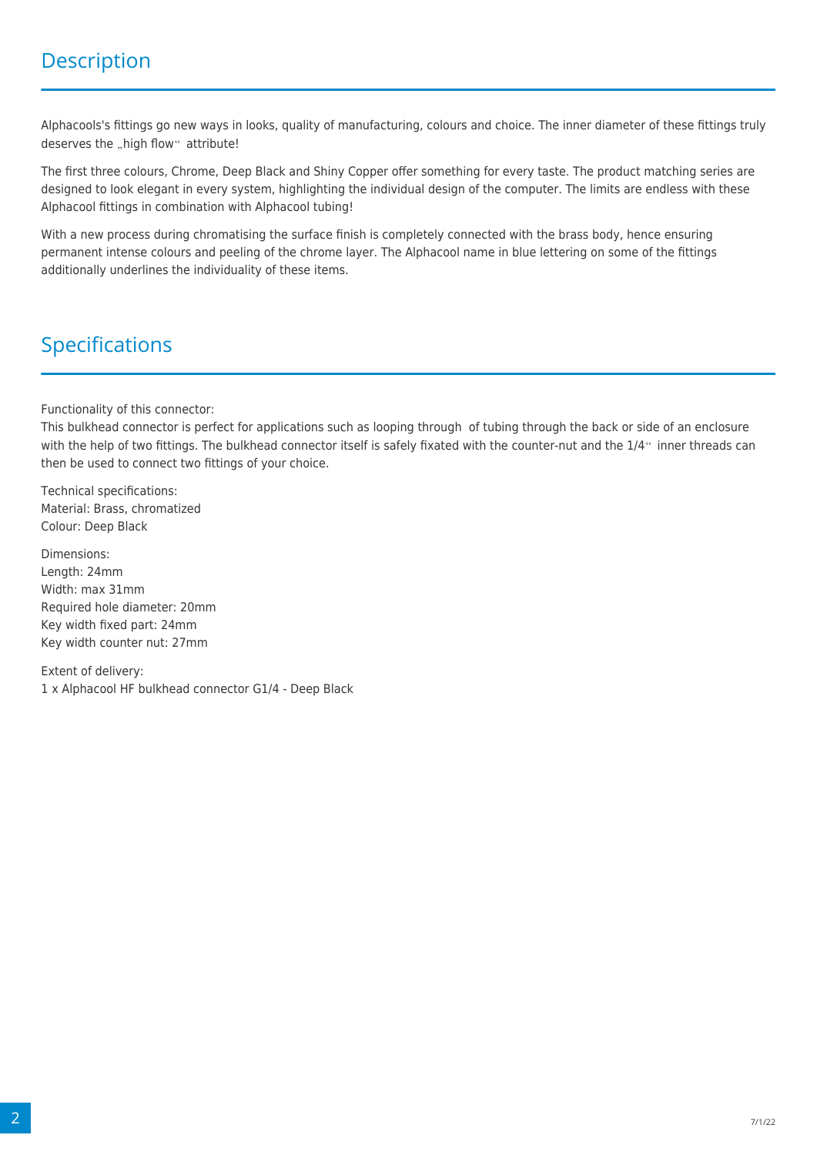Alphacools's fittings go new ways in looks, quality of manufacturing, colours and choice. The inner diameter of these fittings truly deserves the "high flow" attribute!

The first three colours, Chrome, Deep Black and Shiny Copper offer something for every taste. The product matching series are designed to look elegant in every system, highlighting the individual design of the computer. The limits are endless with these Alphacool fittings in combination with Alphacool tubing!

With a new process during chromatising the surface finish is completely connected with the brass body, hence ensuring permanent intense colours and peeling of the chrome layer. The Alphacool name in blue lettering on some of the fittings additionally underlines the individuality of these items.

#### Specifications

Functionality of this connector:

This bulkhead connector is perfect for applications such as looping through of tubing through the back or side of an enclosure with the help of two fittings. The bulkhead connector itself is safely fixated with the counter-nut and the 1/4" inner threads can then be used to connect two fittings of your choice.

Technical specifications: Material: Brass, chromatized Colour: Deep Black

Dimensions: Length: 24mm Width: max 31mm Required hole diameter: 20mm Key width fixed part: 24mm Key width counter nut: 27mm

Extent of delivery: 1 x Alphacool HF bulkhead connector G1/4 - Deep Black